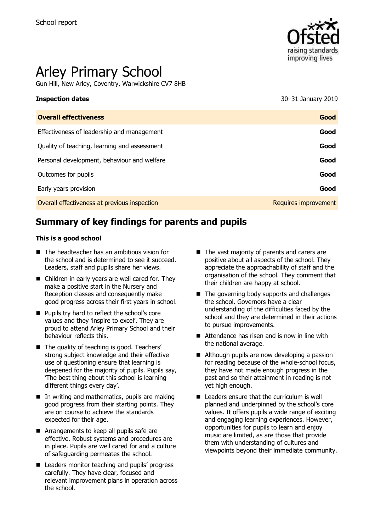

# Arley Primary School

Gun Hill, New Arley, Coventry, Warwickshire CV7 8HB

**Inspection dates** 30–31 January 2019

| <b>Overall effectiveness</b>                 | Good                 |
|----------------------------------------------|----------------------|
| Effectiveness of leadership and management   | Good                 |
| Quality of teaching, learning and assessment | Good                 |
| Personal development, behaviour and welfare  | Good                 |
| Outcomes for pupils                          | Good                 |
| Early years provision                        | Good                 |
| Overall effectiveness at previous inspection | Requires improvement |
|                                              |                      |

# **Summary of key findings for parents and pupils**

#### **This is a good school**

- The headteacher has an ambitious vision for the school and is determined to see it succeed. Leaders, staff and pupils share her views.
- Children in early years are well cared for. They make a positive start in the Nursery and Reception classes and consequently make good progress across their first years in school.
- **Pupils try hard to reflect the school's core** values and they 'inspire to excel'. They are proud to attend Arley Primary School and their behaviour reflects this.
- The quality of teaching is good. Teachers' strong subject knowledge and their effective use of questioning ensure that learning is deepened for the majority of pupils. Pupils say, 'The best thing about this school is learning different things every day'.
- $\blacksquare$  In writing and mathematics, pupils are making good progress from their starting points. They are on course to achieve the standards expected for their age.
- **Arrangements to keep all pupils safe are** effective. Robust systems and procedures are in place. Pupils are well cared for and a culture of safeguarding permeates the school.
- Leaders monitor teaching and pupils' progress carefully. They have clear, focused and relevant improvement plans in operation across the school.
- The vast majority of parents and carers are positive about all aspects of the school. They appreciate the approachability of staff and the organisation of the school. They comment that their children are happy at school.
- $\blacksquare$  The governing body supports and challenges the school. Governors have a clear understanding of the difficulties faced by the school and they are determined in their actions to pursue improvements.
- Attendance has risen and is now in line with the national average.
- Although pupils are now developing a passion for reading because of the whole-school focus, they have not made enough progress in the past and so their attainment in reading is not yet high enough.
- Leaders ensure that the curriculum is well planned and underpinned by the school's core values. It offers pupils a wide range of exciting and engaging learning experiences. However, opportunities for pupils to learn and enjoy music are limited, as are those that provide them with understanding of cultures and viewpoints beyond their immediate community.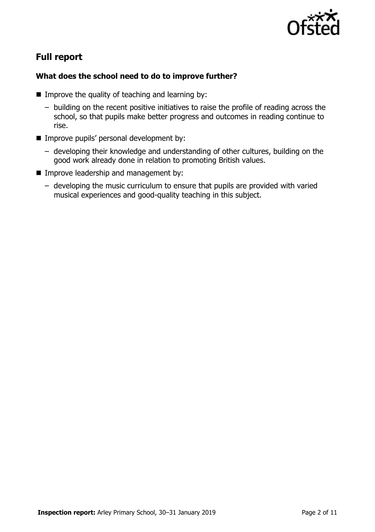

# **Full report**

### **What does the school need to do to improve further?**

- $\blacksquare$  Improve the quality of teaching and learning by:
	- building on the recent positive initiatives to raise the profile of reading across the school, so that pupils make better progress and outcomes in reading continue to rise.
- **IMPROVE pupils' personal development by:** 
	- developing their knowledge and understanding of other cultures, building on the good work already done in relation to promoting British values.
- **Improve leadership and management by:** 
	- developing the music curriculum to ensure that pupils are provided with varied musical experiences and good-quality teaching in this subject.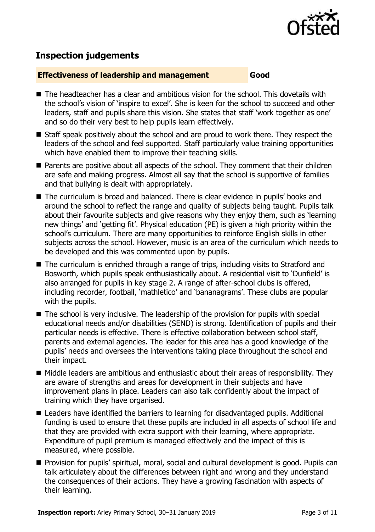

# **Inspection judgements**

#### **Effectiveness of leadership and management Good**

- $\blacksquare$  The headteacher has a clear and ambitious vision for the school. This dovetails with the school's vision of 'inspire to excel'. She is keen for the school to succeed and other leaders, staff and pupils share this vision. She states that staff 'work together as one' and so do their very best to help pupils learn effectively.
- Staff speak positively about the school and are proud to work there. They respect the leaders of the school and feel supported. Staff particularly value training opportunities which have enabled them to improve their teaching skills.
- Parents are positive about all aspects of the school. They comment that their children are safe and making progress. Almost all say that the school is supportive of families and that bullying is dealt with appropriately.
- The curriculum is broad and balanced. There is clear evidence in pupils' books and around the school to reflect the range and quality of subjects being taught. Pupils talk about their favourite subjects and give reasons why they enjoy them, such as 'learning new things' and 'getting fit'. Physical education (PE) is given a high priority within the school's curriculum. There are many opportunities to reinforce English skills in other subjects across the school. However, music is an area of the curriculum which needs to be developed and this was commented upon by pupils.
- The curriculum is enriched through a range of trips, including visits to Stratford and Bosworth, which pupils speak enthusiastically about. A residential visit to 'Dunfield' is also arranged for pupils in key stage 2. A range of after-school clubs is offered, including recorder, football, 'mathletico' and 'bananagrams'. These clubs are popular with the pupils.
- The school is very inclusive. The leadership of the provision for pupils with special educational needs and/or disabilities (SEND) is strong. Identification of pupils and their particular needs is effective. There is effective collaboration between school staff, parents and external agencies. The leader for this area has a good knowledge of the pupils' needs and oversees the interventions taking place throughout the school and their impact.
- $\blacksquare$  Middle leaders are ambitious and enthusiastic about their areas of responsibility. They are aware of strengths and areas for development in their subjects and have improvement plans in place. Leaders can also talk confidently about the impact of training which they have organised.
- Leaders have identified the barriers to learning for disadvantaged pupils. Additional funding is used to ensure that these pupils are included in all aspects of school life and that they are provided with extra support with their learning, where appropriate. Expenditure of pupil premium is managed effectively and the impact of this is measured, where possible.
- **Provision for pupils' spiritual, moral, social and cultural development is good. Pupils can** talk articulately about the differences between right and wrong and they understand the consequences of their actions. They have a growing fascination with aspects of their learning.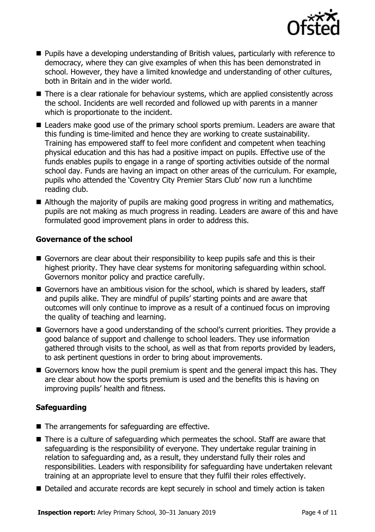

- **Pupils have a developing understanding of British values, particularly with reference to** democracy, where they can give examples of when this has been demonstrated in school. However, they have a limited knowledge and understanding of other cultures, both in Britain and in the wider world.
- There is a clear rationale for behaviour systems, which are applied consistently across the school. Incidents are well recorded and followed up with parents in a manner which is proportionate to the incident.
- Leaders make good use of the primary school sports premium. Leaders are aware that this funding is time-limited and hence they are working to create sustainability. Training has empowered staff to feel more confident and competent when teaching physical education and this has had a positive impact on pupils. Effective use of the funds enables pupils to engage in a range of sporting activities outside of the normal school day. Funds are having an impact on other areas of the curriculum. For example, pupils who attended the 'Coventry City Premier Stars Club' now run a lunchtime reading club.
- Although the majority of pupils are making good progress in writing and mathematics, pupils are not making as much progress in reading. Leaders are aware of this and have formulated good improvement plans in order to address this.

#### **Governance of the school**

- Governors are clear about their responsibility to keep pupils safe and this is their highest priority. They have clear systems for monitoring safeguarding within school. Governors monitor policy and practice carefully.
- Governors have an ambitious vision for the school, which is shared by leaders, staff and pupils alike. They are mindful of pupils' starting points and are aware that outcomes will only continue to improve as a result of a continued focus on improving the quality of teaching and learning.
- Governors have a good understanding of the school's current priorities. They provide a good balance of support and challenge to school leaders. They use information gathered through visits to the school, as well as that from reports provided by leaders, to ask pertinent questions in order to bring about improvements.
- Governors know how the pupil premium is spent and the general impact this has. They are clear about how the sports premium is used and the benefits this is having on improving pupils' health and fitness.

### **Safeguarding**

- The arrangements for safeguarding are effective.
- There is a culture of safeguarding which permeates the school. Staff are aware that safeguarding is the responsibility of everyone. They undertake regular training in relation to safeguarding and, as a result, they understand fully their roles and responsibilities. Leaders with responsibility for safeguarding have undertaken relevant training at an appropriate level to ensure that they fulfil their roles effectively.
- Detailed and accurate records are kept securely in school and timely action is taken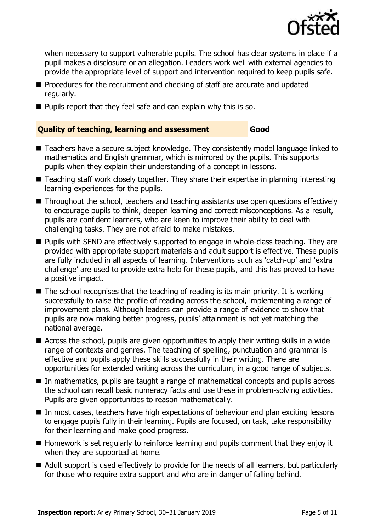

when necessary to support vulnerable pupils. The school has clear systems in place if a pupil makes a disclosure or an allegation. Leaders work well with external agencies to provide the appropriate level of support and intervention required to keep pupils safe.

- **Procedures for the recruitment and checking of staff are accurate and updated** regularly.
- $\blacksquare$  Pupils report that they feel safe and can explain why this is so.

#### **Quality of teaching, learning and assessment Good**

- Teachers have a secure subject knowledge. They consistently model language linked to mathematics and English grammar, which is mirrored by the pupils. This supports pupils when they explain their understanding of a concept in lessons.
- Teaching staff work closely together. They share their expertise in planning interesting learning experiences for the pupils.
- Throughout the school, teachers and teaching assistants use open questions effectively to encourage pupils to think, deepen learning and correct misconceptions. As a result, pupils are confident learners, who are keen to improve their ability to deal with challenging tasks. They are not afraid to make mistakes.
- **Pupils with SEND are effectively supported to engage in whole-class teaching. They are** provided with appropriate support materials and adult support is effective. These pupils are fully included in all aspects of learning. Interventions such as 'catch-up' and 'extra challenge' are used to provide extra help for these pupils, and this has proved to have a positive impact.
- $\blacksquare$  The school recognises that the teaching of reading is its main priority. It is working successfully to raise the profile of reading across the school, implementing a range of improvement plans. Although leaders can provide a range of evidence to show that pupils are now making better progress, pupils' attainment is not yet matching the national average.
- Across the school, pupils are given opportunities to apply their writing skills in a wide range of contexts and genres. The teaching of spelling, punctuation and grammar is effective and pupils apply these skills successfully in their writing. There are opportunities for extended writing across the curriculum, in a good range of subjects.
- In mathematics, pupils are taught a range of mathematical concepts and pupils across the school can recall basic numeracy facts and use these in problem-solving activities. Pupils are given opportunities to reason mathematically.
- In most cases, teachers have high expectations of behaviour and plan exciting lessons to engage pupils fully in their learning. Pupils are focused, on task, take responsibility for their learning and make good progress.
- Homework is set regularly to reinforce learning and pupils comment that they enjoy it when they are supported at home.
- Adult support is used effectively to provide for the needs of all learners, but particularly for those who require extra support and who are in danger of falling behind.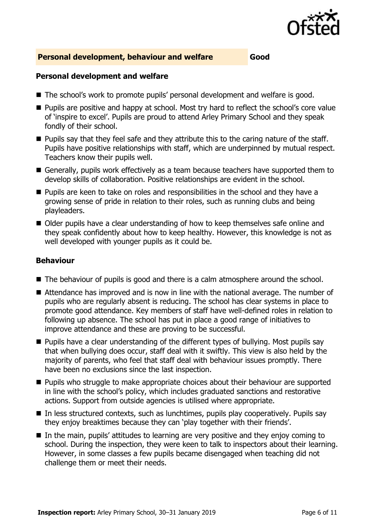

#### **Personal development, behaviour and welfare Good**

#### **Personal development and welfare**

- The school's work to promote pupils' personal development and welfare is good.
- **Pupils are positive and happy at school. Most try hard to reflect the school's core value** of 'inspire to excel'. Pupils are proud to attend Arley Primary School and they speak fondly of their school.
- **Pupils say that they feel safe and they attribute this to the caring nature of the staff.** Pupils have positive relationships with staff, which are underpinned by mutual respect. Teachers know their pupils well.
- Generally, pupils work effectively as a team because teachers have supported them to develop skills of collaboration. Positive relationships are evident in the school.
- **Pupils are keen to take on roles and responsibilities in the school and they have a** growing sense of pride in relation to their roles, such as running clubs and being playleaders.
- Older pupils have a clear understanding of how to keep themselves safe online and they speak confidently about how to keep healthy. However, this knowledge is not as well developed with younger pupils as it could be.

#### **Behaviour**

- The behaviour of pupils is good and there is a calm atmosphere around the school.
- Attendance has improved and is now in line with the national average. The number of pupils who are regularly absent is reducing. The school has clear systems in place to promote good attendance. Key members of staff have well-defined roles in relation to following up absence. The school has put in place a good range of initiatives to improve attendance and these are proving to be successful.
- **Pupils have a clear understanding of the different types of bullying. Most pupils say** that when bullying does occur, staff deal with it swiftly. This view is also held by the majority of parents, who feel that staff deal with behaviour issues promptly. There have been no exclusions since the last inspection.
- **Pupils who struggle to make appropriate choices about their behaviour are supported** in line with the school's policy, which includes graduated sanctions and restorative actions. Support from outside agencies is utilised where appropriate.
- $\blacksquare$  In less structured contexts, such as lunchtimes, pupils play cooperatively. Pupils say they enjoy breaktimes because they can 'play together with their friends'.
- In the main, pupils' attitudes to learning are very positive and they enjoy coming to school. During the inspection, they were keen to talk to inspectors about their learning. However, in some classes a few pupils became disengaged when teaching did not challenge them or meet their needs.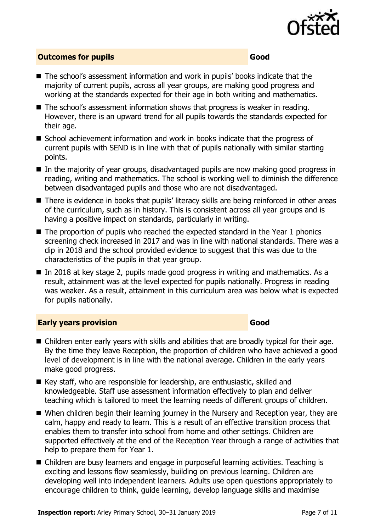

#### **Outcomes for pupils Good**

- The school's assessment information and work in pupils' books indicate that the majority of current pupils, across all year groups, are making good progress and working at the standards expected for their age in both writing and mathematics.
- The school's assessment information shows that progress is weaker in reading. However, there is an upward trend for all pupils towards the standards expected for their age.
- School achievement information and work in books indicate that the progress of current pupils with SEND is in line with that of pupils nationally with similar starting points.
- In the majority of year groups, disadvantaged pupils are now making good progress in reading, writing and mathematics. The school is working well to diminish the difference between disadvantaged pupils and those who are not disadvantaged.
- There is evidence in books that pupils' literacy skills are being reinforced in other areas of the curriculum, such as in history. This is consistent across all year groups and is having a positive impact on standards, particularly in writing.
- $\blacksquare$  The proportion of pupils who reached the expected standard in the Year 1 phonics screening check increased in 2017 and was in line with national standards. There was a dip in 2018 and the school provided evidence to suggest that this was due to the characteristics of the pupils in that year group.
- In 2018 at key stage 2, pupils made good progress in writing and mathematics. As a result, attainment was at the level expected for pupils nationally. Progress in reading was weaker. As a result, attainment in this curriculum area was below what is expected for pupils nationally.

### **Early years provision Good Good**

- Children enter early years with skills and abilities that are broadly typical for their age. By the time they leave Reception, the proportion of children who have achieved a good level of development is in line with the national average. Children in the early years make good progress.
- Key staff, who are responsible for leadership, are enthusiastic, skilled and knowledgeable. Staff use assessment information effectively to plan and deliver teaching which is tailored to meet the learning needs of different groups of children.
- When children begin their learning journey in the Nursery and Reception year, they are calm, happy and ready to learn. This is a result of an effective transition process that enables them to transfer into school from home and other settings. Children are supported effectively at the end of the Reception Year through a range of activities that help to prepare them for Year 1.
- Children are busy learners and engage in purposeful learning activities. Teaching is exciting and lessons flow seamlessly, building on previous learning. Children are developing well into independent learners. Adults use open questions appropriately to encourage children to think, guide learning, develop language skills and maximise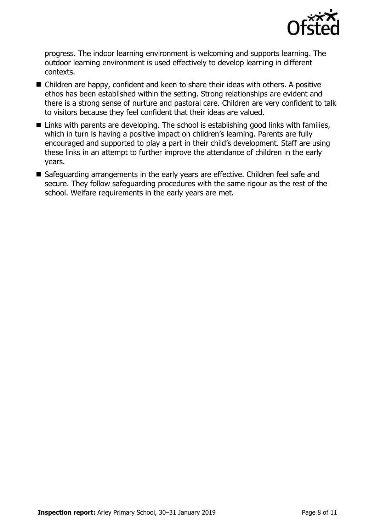

progress. The indoor learning environment is welcoming and supports learning. The outdoor learning environment is used effectively to develop learning in different contexts.

- Children are happy, confident and keen to share their ideas with others. A positive ethos has been established within the setting. Strong relationships are evident and there is a strong sense of nurture and pastoral care. Children are very confident to talk to visitors because they feel confident that their ideas are valued.
- Links with parents are developing. The school is establishing good links with families, which in turn is having a positive impact on children's learning. Parents are fully encouraged and supported to play a part in their child's development. Staff are using these links in an attempt to further improve the attendance of children in the early years.
- Safeguarding arrangements in the early years are effective. Children feel safe and secure. They follow safeguarding procedures with the same rigour as the rest of the school. Welfare requirements in the early years are met.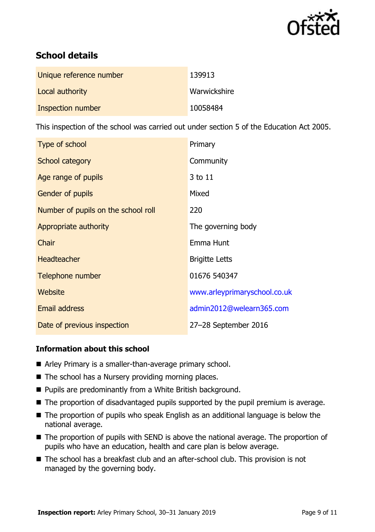

# **School details**

| Unique reference number | 139913       |
|-------------------------|--------------|
| Local authority         | Warwickshire |
| Inspection number       | 10058484     |

This inspection of the school was carried out under section 5 of the Education Act 2005.

| Type of school                      | Primary                      |
|-------------------------------------|------------------------------|
| School category                     | Community                    |
| Age range of pupils                 | 3 to 11                      |
| <b>Gender of pupils</b>             | Mixed                        |
| Number of pupils on the school roll | 220                          |
| Appropriate authority               | The governing body           |
| Chair                               | Emma Hunt                    |
| <b>Headteacher</b>                  | <b>Brigitte Letts</b>        |
| Telephone number                    | 01676 540347                 |
| Website                             | www.arleyprimaryschool.co.uk |
| <b>Email address</b>                | admin2012@welearn365.com     |
| Date of previous inspection         | 27-28 September 2016         |

### **Information about this school**

- Arley Primary is a smaller-than-average primary school.
- The school has a Nursery providing morning places.
- Pupils are predominantly from a White British background.
- The proportion of disadvantaged pupils supported by the pupil premium is average.
- The proportion of pupils who speak English as an additional language is below the national average.
- The proportion of pupils with SEND is above the national average. The proportion of pupils who have an education, health and care plan is below average.
- The school has a breakfast club and an after-school club. This provision is not managed by the governing body.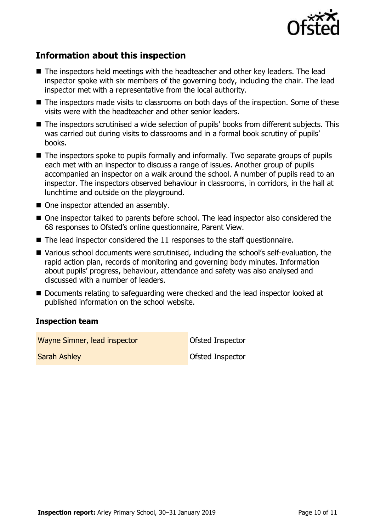

# **Information about this inspection**

- The inspectors held meetings with the headteacher and other key leaders. The lead inspector spoke with six members of the governing body, including the chair. The lead inspector met with a representative from the local authority.
- The inspectors made visits to classrooms on both days of the inspection. Some of these visits were with the headteacher and other senior leaders.
- The inspectors scrutinised a wide selection of pupils' books from different subjects. This was carried out during visits to classrooms and in a formal book scrutiny of pupils' books.
- The inspectors spoke to pupils formally and informally. Two separate groups of pupils each met with an inspector to discuss a range of issues. Another group of pupils accompanied an inspector on a walk around the school. A number of pupils read to an inspector. The inspectors observed behaviour in classrooms, in corridors, in the hall at lunchtime and outside on the playground.
- One inspector attended an assembly.
- One inspector talked to parents before school. The lead inspector also considered the 68 responses to Ofsted's online questionnaire, Parent View.
- $\blacksquare$  The lead inspector considered the 11 responses to the staff questionnaire.
- Various school documents were scrutinised, including the school's self-evaluation, the rapid action plan, records of monitoring and governing body minutes. Information about pupils' progress, behaviour, attendance and safety was also analysed and discussed with a number of leaders.
- Documents relating to safeguarding were checked and the lead inspector looked at published information on the school website.

### **Inspection team**

Wayne Simner, lead inspector **Constant Constant Constant** Ofsted Inspector **Sarah Ashley Construction Construction Construction Construction Construction Construction Construction Construction Construction Construction Construction Construction Construction Construction Construction Construction**